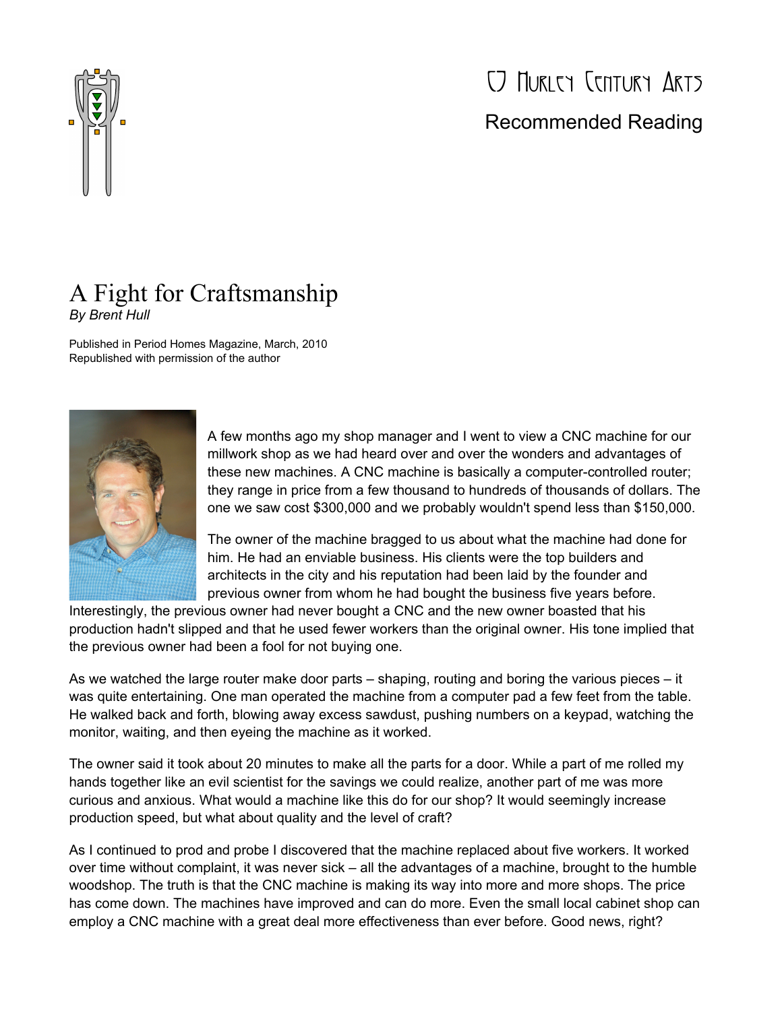

## CJ Hurley Century Arts Recommended Reading

## A Fight for Craftsmanship *By Brent Hull*

Published in Period Homes Magazine, March, 2010 Republished with permission of the author



A few months ago my shop manager and I went to view a CNC machine for our millwork shop as we had heard over and over the wonders and advantages of these new machines. A CNC machine is basically a computer-controlled router; they range in price from a few thousand to hundreds of thousands of dollars. The one we saw cost \$300,000 and we probably wouldn't spend less than \$150,000.

The owner of the machine bragged to us about what the machine had done for him. He had an enviable business. His clients were the top builders and architects in the city and his reputation had been laid by the founder and previous owner from whom he had bought the business five years before.

Interestingly, the previous owner had never bought a CNC and the new owner boasted that his production hadn't slipped and that he used fewer workers than the original owner. His tone implied that the previous owner had been a fool for not buying one.

As we watched the large router make door parts – shaping, routing and boring the various pieces – it was quite entertaining. One man operated the machine from a computer pad a few feet from the table. He walked back and forth, blowing away excess sawdust, pushing numbers on a keypad, watching the monitor, waiting, and then eyeing the machine as it worked.

The owner said it took about 20 minutes to make all the parts for a door. While a part of me rolled my hands together like an evil scientist for the savings we could realize, another part of me was more curious and anxious. What would a machine like this do for our shop? It would seemingly increase production speed, but what about quality and the level of craft?

As I continued to prod and probe I discovered that the machine replaced about five workers. It worked over time without complaint, it was never sick – all the advantages of a machine, brought to the humble woodshop. The truth is that the CNC machine is making its way into more and more shops. The price has come down. The machines have improved and can do more. Even the small local cabinet shop can employ a CNC machine with a great deal more effectiveness than ever before. Good news, right?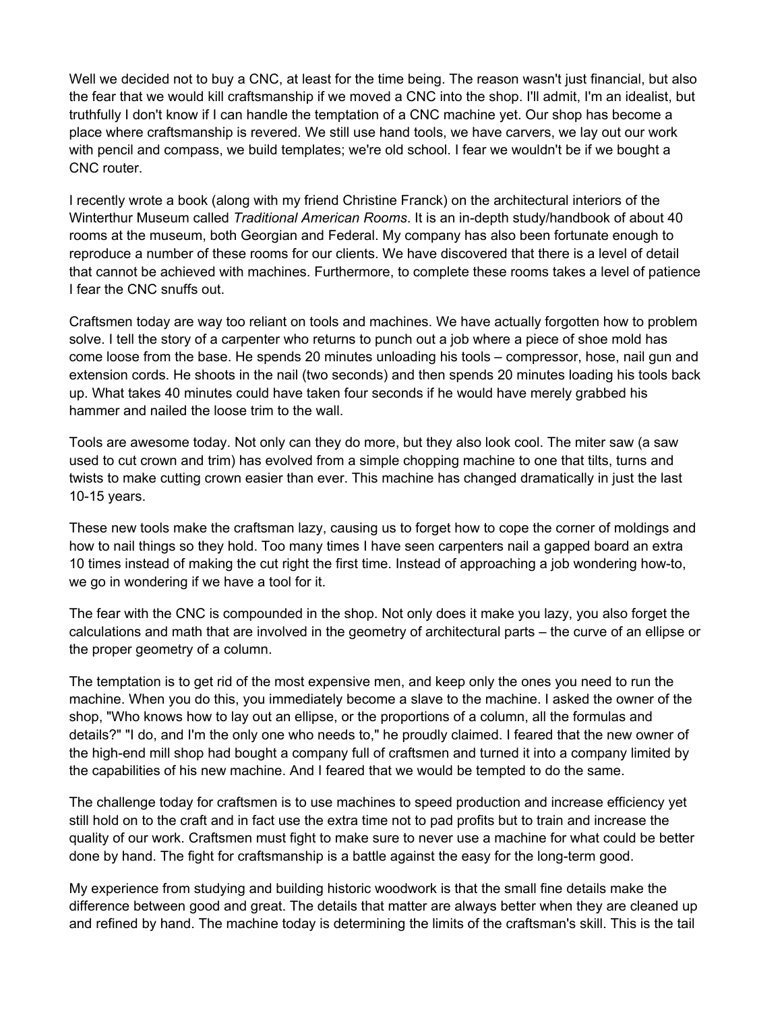Well we decided not to buy a CNC, at least for the time being. The reason wasn't just financial, but also the fear that we would kill craftsmanship if we moved a CNC into the shop. I'll admit, I'm an idealist, but truthfully I don't know if I can handle the temptation of a CNC machine yet. Our shop has become a place where craftsmanship is revered. We still use hand tools, we have carvers, we lay out our work with pencil and compass, we build templates; we're old school. I fear we wouldn't be if we bought a CNC router.

I recently wrote a book (along with my friend Christine Franck) on the architectural interiors of the Winterthur Museum called *Traditional American Rooms*. It is an in-depth study/handbook of about 40 rooms at the museum, both Georgian and Federal. My company has also been fortunate enough to reproduce a number of these rooms for our clients. We have discovered that there is a level of detail that cannot be achieved with machines. Furthermore, to complete these rooms takes a level of patience I fear the CNC snuffs out.

Craftsmen today are way too reliant on tools and machines. We have actually forgotten how to problem solve. I tell the story of a carpenter who returns to punch out a job where a piece of shoe mold has come loose from the base. He spends 20 minutes unloading his tools – compressor, hose, nail gun and extension cords. He shoots in the nail (two seconds) and then spends 20 minutes loading his tools back up. What takes 40 minutes could have taken four seconds if he would have merely grabbed his hammer and nailed the loose trim to the wall.

Tools are awesome today. Not only can they do more, but they also look cool. The miter saw (a saw used to cut crown and trim) has evolved from a simple chopping machine to one that tilts, turns and twists to make cutting crown easier than ever. This machine has changed dramatically in just the last 10-15 years.

These new tools make the craftsman lazy, causing us to forget how to cope the corner of moldings and how to nail things so they hold. Too many times I have seen carpenters nail a gapped board an extra 10 times instead of making the cut right the first time. Instead of approaching a job wondering how-to, we go in wondering if we have a tool for it.

The fear with the CNC is compounded in the shop. Not only does it make you lazy, you also forget the calculations and math that are involved in the geometry of architectural parts – the curve of an ellipse or the proper geometry of a column.

The temptation is to get rid of the most expensive men, and keep only the ones you need to run the machine. When you do this, you immediately become a slave to the machine. I asked the owner of the shop, "Who knows how to lay out an ellipse, or the proportions of a column, all the formulas and details?" "I do, and I'm the only one who needs to," he proudly claimed. I feared that the new owner of the high-end mill shop had bought a company full of craftsmen and turned it into a company limited by the capabilities of his new machine. And I feared that we would be tempted to do the same.

The challenge today for craftsmen is to use machines to speed production and increase efficiency yet still hold on to the craft and in fact use the extra time not to pad profits but to train and increase the quality of our work. Craftsmen must fight to make sure to never use a machine for what could be better done by hand. The fight for craftsmanship is a battle against the easy for the long-term good.

My experience from studying and building historic woodwork is that the small fine details make the difference between good and great. The details that matter are always better when they are cleaned up and refined by hand. The machine today is determining the limits of the craftsman's skill. This is the tail